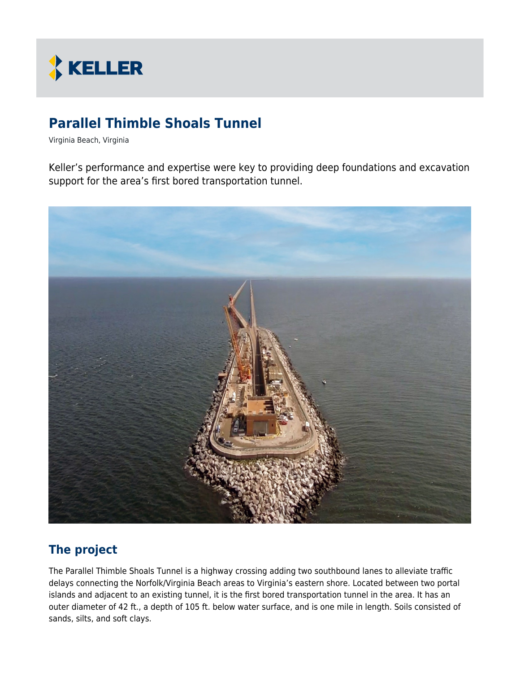

# **Parallel Thimble Shoals Tunnel**

Virginia Beach, Virginia

Keller's performance and expertise were key to providing deep foundations and excavation support for the area's first bored transportation tunnel.



# **The project**

The Parallel Thimble Shoals Tunnel is a highway crossing adding two southbound lanes to alleviate traffic delays connecting the Norfolk/Virginia Beach areas to Virginia's eastern shore. Located between two portal islands and adjacent to an existing tunnel, it is the first bored transportation tunnel in the area. It has an outer diameter of 42 ft., a depth of 105 ft. below water surface, and is one mile in length. Soils consisted of sands, silts, and soft clays.